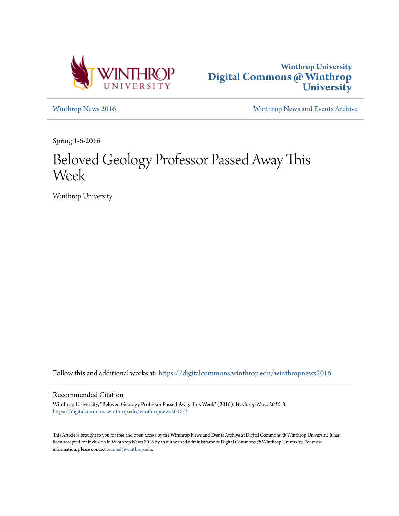



[Winthrop News 2016](https://digitalcommons.winthrop.edu/winthropnews2016?utm_source=digitalcommons.winthrop.edu%2Fwinthropnews2016%2F3&utm_medium=PDF&utm_campaign=PDFCoverPages) [Winthrop News and Events Archive](https://digitalcommons.winthrop.edu/winthropnewsarchives?utm_source=digitalcommons.winthrop.edu%2Fwinthropnews2016%2F3&utm_medium=PDF&utm_campaign=PDFCoverPages)

Spring 1-6-2016

## Beloved Geology Professor Passed Away This Week

Winthrop University

Follow this and additional works at: [https://digitalcommons.winthrop.edu/winthropnews2016](https://digitalcommons.winthrop.edu/winthropnews2016?utm_source=digitalcommons.winthrop.edu%2Fwinthropnews2016%2F3&utm_medium=PDF&utm_campaign=PDFCoverPages)

## Recommended Citation

Winthrop University, "Beloved Geology Professor Passed Away This Week" (2016). *Winthrop News 2016*. 3. [https://digitalcommons.winthrop.edu/winthropnews2016/3](https://digitalcommons.winthrop.edu/winthropnews2016/3?utm_source=digitalcommons.winthrop.edu%2Fwinthropnews2016%2F3&utm_medium=PDF&utm_campaign=PDFCoverPages)

This Article is brought to you for free and open access by the Winthrop News and Events Archive at Digital Commons @ Winthrop University. It has been accepted for inclusion in Winthrop News 2016 by an authorized administrator of Digital Commons @ Winthrop University. For more information, please contact [bramed@winthrop.edu](mailto:bramed@winthrop.edu).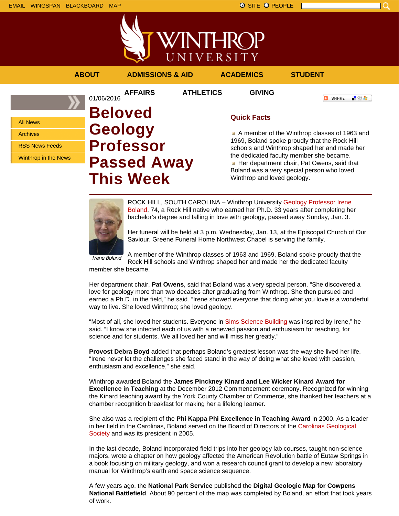All News Archives

RSS News Feeds

Winthrop in the News

上脸身。



A member of the Winthrop classes of 1963 and 1969, Boland spoke proudly that the Rock Hill schools and Winthrop shaped her and made her the dedicated faculty member she became. Her department chair, Pat Owens, said that Boland was a very special person who loved Winthrop and loved geology.

ROCK HILL, SOUTH CAROLINA – Winthrop University Geology Professor Irene Boland, 74, a Rock Hill native who earned her Ph.D. 33 years after completing her bachelor's degree and falling in love with geology, passed away Sunday, Jan. 3.

Her funeral will be held at 3 p.m. Wednesday, Jan. 13, at the Episcopal Church of Our Saviour. Greene Funeral Home Northwest Chapel is serving the family.

Irene Boland A member of the Winthrop classes of 1963 and 1969, Boland spoke proudly that the Rock Hill schools and Winthrop shaped her and made her the dedicated faculty member she became.

Her department chair, **Pat Owens**, said that Boland was a very special person. "She discovered a love for geology more than two decades after graduating from Winthrop. She then pursued and earned a Ph.D. in the field," he said. "Irene showed everyone that doing what you love is a wonderful way to live. She loved Winthrop; she loved geology.

"Most of all, she loved her students. Everyone in Sims Science Building was inspired by Irene," he said. "I know she infected each of us with a renewed passion and enthusiasm for teaching, for science and for students. We all loved her and will miss her greatly."

**Provost Debra Boyd** added that perhaps Boland's greatest lesson was the way she lived her life. "Irene never let the challenges she faced stand in the way of doing what she loved with passion, enthusiasm and excellence," she said.

Winthrop awarded Boland the **James Pinckney Kinard and Lee Wicker Kinard Award for Excellence in Teaching** at the December 2012 Commencement ceremony. Recognized for winning the Kinard teaching award by the York County Chamber of Commerce, she thanked her teachers at a chamber recognition breakfast for making her a lifelong learner.

She also was a recipient of the **Phi Kappa Phi Excellence in Teaching Award** in 2000. As a leader in her field in the Carolinas, Boland served on the Board of Directors of the Carolinas Geological Society and was its president in 2005.

In the last decade, Boland incorporated field trips into her geology lab courses, taught non-science majors, wrote a chapter on how geology affected the American Revolution battle of Eutaw Springs in a book focusing on military geology, and won a research council grant to develop a new laboratory manual for Winthrop's earth and space science sequence.

A few years ago, the **National Park Service** published the **Digital Geologic Map for Cowpens National Battlefield**. About 90 percent of the map was completed by Boland, an effort that took years of work.

**Professor**

**This Week**

**Passed Away**